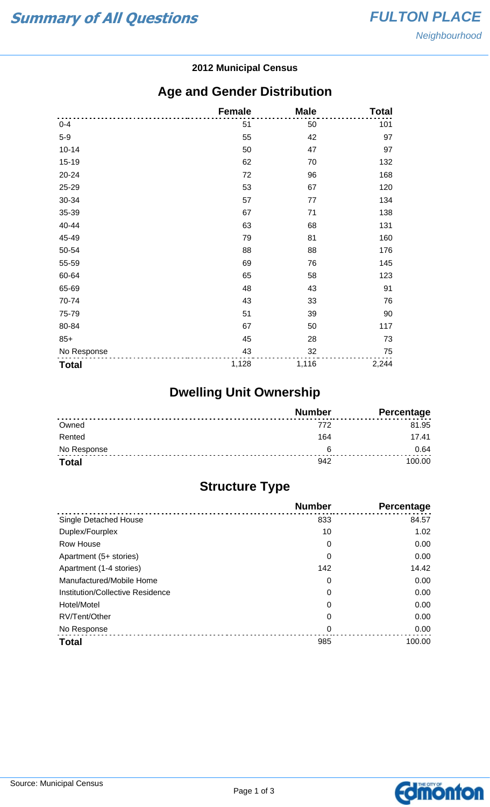#### **2012 Municipal Census**

## **Age and Gender Distribution**

|              | <b>Female</b> | <b>Male</b> | <b>Total</b> |
|--------------|---------------|-------------|--------------|
| $0 - 4$      | 51            | 50          | 101          |
| $5-9$        | 55            | 42          | 97           |
| $10 - 14$    | 50            | 47          | 97           |
| $15 - 19$    | 62            | 70          | 132          |
| 20-24        | 72            | 96          | 168          |
| 25-29        | 53            | 67          | 120          |
| 30-34        | 57            | 77          | 134          |
| 35-39        | 67            | 71          | 138          |
| 40-44        | 63            | 68          | 131          |
| 45-49        | 79            | 81          | 160          |
| 50-54        | 88            | 88          | 176          |
| 55-59        | 69            | 76          | 145          |
| 60-64        | 65            | 58          | 123          |
| 65-69        | 48            | 43          | 91           |
| 70-74        | 43            | 33          | 76           |
| 75-79        | 51            | 39          | 90           |
| 80-84        | 67            | 50          | 117          |
| $85+$        | 45            | 28          | 73           |
| No Response  | 43            | 32          | 75           |
| <b>Total</b> | 1,128         | 1,116       | 2,244        |

# **Dwelling Unit Ownership**

|              | <b>Number</b> | Percentage |
|--------------|---------------|------------|
| Owned        | 772           | 81.95      |
| Rented       | 164           | 17.41      |
| No Response  | ี             | 0.64       |
| <b>Total</b> | 942           | 100.00     |

## **Structure Type**

|                                  | <b>Number</b> | Percentage |
|----------------------------------|---------------|------------|
| Single Detached House            | 833           | 84.57      |
| Duplex/Fourplex                  | 10            | 1.02       |
| Row House                        | 0             | 0.00       |
| Apartment (5+ stories)           | 0             | 0.00       |
| Apartment (1-4 stories)          | 142           | 14.42      |
| Manufactured/Mobile Home         | 0             | 0.00       |
| Institution/Collective Residence | 0             | 0.00       |
| Hotel/Motel                      | 0             | 0.00       |
| RV/Tent/Other                    | 0             | 0.00       |
| No Response                      | 0             | 0.00       |
| <b>Total</b>                     | 985           | 100.00     |

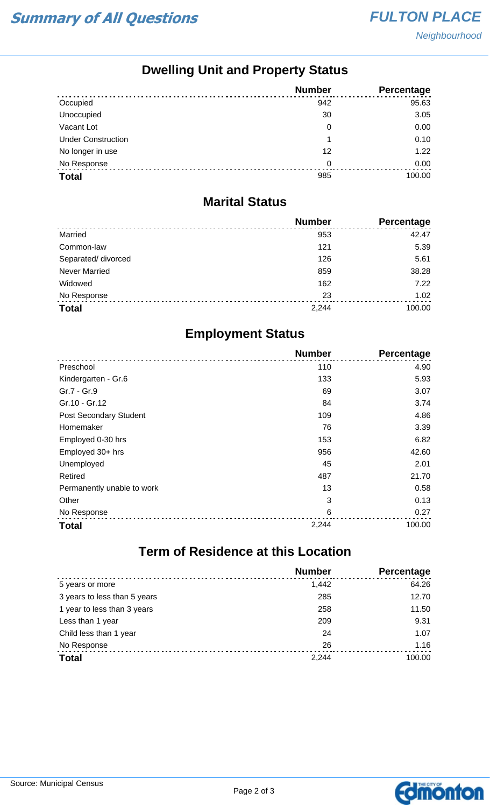## **Dwelling Unit and Property Status**

|                           | <b>Number</b> | Percentage |
|---------------------------|---------------|------------|
| Occupied                  | 942           | 95.63      |
| Unoccupied                | 30            | 3.05       |
| Vacant Lot                | 0             | 0.00       |
| <b>Under Construction</b> |               | 0.10       |
| No longer in use          | 12            | 1.22       |
| No Response               | 0             | 0.00       |
| <b>Total</b>              | 985           | 100.00     |

#### **Marital Status**

|                      | <b>Number</b> | Percentage |
|----------------------|---------------|------------|
| Married              | 953           | 42.47      |
| Common-law           | 121           | 5.39       |
| Separated/ divorced  | 126           | 5.61       |
| <b>Never Married</b> | 859           | 38.28      |
| Widowed              | 162           | 7.22       |
| No Response          | 23            | 1.02       |
| <b>Total</b>         | 2,244         | 100.00     |

## **Employment Status**

|                            | <b>Number</b> | <b>Percentage</b> |
|----------------------------|---------------|-------------------|
| Preschool                  | 110           | 4.90              |
| Kindergarten - Gr.6        | 133           | 5.93              |
| Gr.7 - Gr.9                | 69            | 3.07              |
| Gr.10 - Gr.12              | 84            | 3.74              |
| Post Secondary Student     | 109           | 4.86              |
| Homemaker                  | 76            | 3.39              |
| Employed 0-30 hrs          | 153           | 6.82              |
| Employed 30+ hrs           | 956           | 42.60             |
| Unemployed                 | 45            | 2.01              |
| Retired                    | 487           | 21.70             |
| Permanently unable to work | 13            | 0.58              |
| Other                      | 3             | 0.13              |
| No Response                | 6             | 0.27              |
| <b>Total</b>               | 2,244         | 100.00            |

# **Term of Residence at this Location**

|                              | <b>Number</b> | Percentage |
|------------------------------|---------------|------------|
| 5 years or more              | 1,442         | 64.26      |
| 3 years to less than 5 years | 285           | 12.70      |
| 1 year to less than 3 years  | 258           | 11.50      |
| Less than 1 year             | 209           | 9.31       |
| Child less than 1 year       | 24            | 1.07       |
| No Response                  | 26            | 1.16       |
| <b>Total</b>                 | 2,244         | 100.00     |